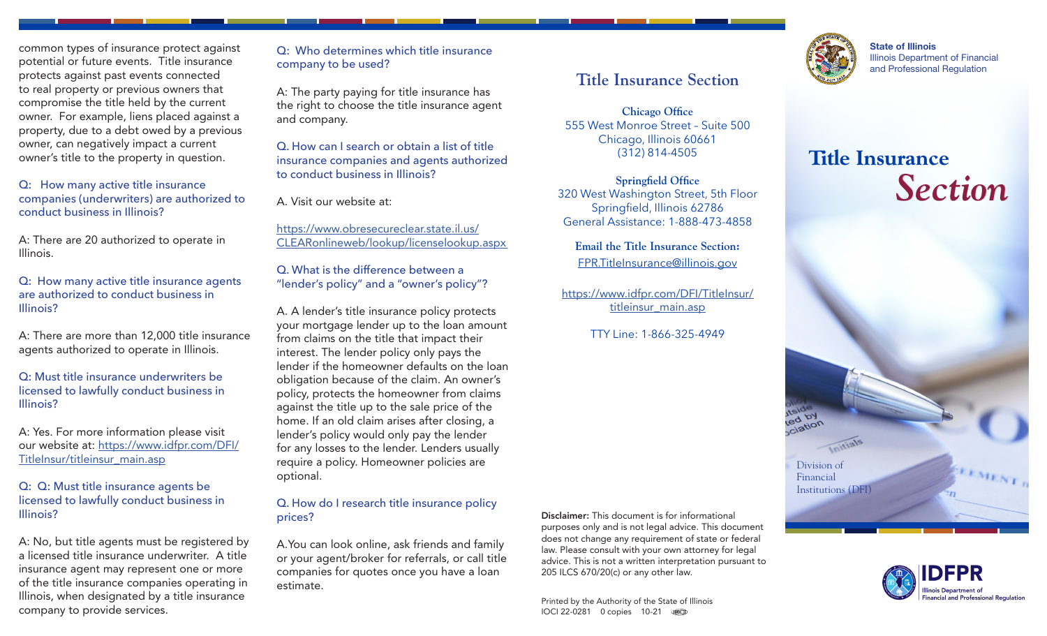common types of insurance protect against potential or future events. Title insurance protects against past events connected to real property or previous owners that compromise the title held by the current owner. For example, liens placed against a property, due to a debt owed by a previous owner, can negatively impact a current owner's title to the property in question.

Q: How many active title insurance companies (underwriters) are authorized to conduct business in Illinois?

A: There are 20 authorized to operate in Illinois.

Q: How many active title insurance agents are authorized to conduct business in Illinois?

A: There are more than 12,000 title insurance agents authorized to operate in Illinois.

Q: Must title insurance underwriters be licensed to lawfully conduct business in Illinois?

A: Yes. For more information please visit our website at: [https://www.idfpr.com/DFI/](https://www.idfpr.com/DFI/TitleInsur/titleinsur_main.asp) [TitleInsur/titleinsur\\_main.asp](https://www.idfpr.com/DFI/TitleInsur/titleinsur_main.asp)

#### Q: Q: Must title insurance agents be licensed to lawfully conduct business in Illinois?

A: No, but title agents must be registered by a licensed title insurance underwriter. A title insurance agent may represent one or more of the title insurance companies operating in Illinois, when designated by a title insurance company to provide services.

Q: Who determines which title insurance company to be used?

A: The party paying for title insurance has the right to choose the title insurance agent and company.

Q. How can I search or obtain a list of title insurance companies and agents authorized to conduct business in Illinois?

A. Visit our website at:

[https://www.obresecureclear.state.il.us/](https://www.obresecureclear.state.il.us/CLEARonlineweb/lookup/licenselookup.aspx ) [CLEARonlineweb/lookup/licenselookup.aspx](https://www.obresecureclear.state.il.us/CLEARonlineweb/lookup/licenselookup.aspx ) 

Q. What is the difference between a "lender's policy" and a "owner's policy"?

A. A lender's title insurance policy protects your mortgage lender up to the loan amount from claims on the title that impact their interest. The lender policy only pays the lender if the homeowner defaults on the loan obligation because of the claim. An owner's policy, protects the homeowner from claims against the title up to the sale price of the home. If an old claim arises after closing, a lender's policy would only pay the lender for any losses to the lender. Lenders usually require a policy. Homeowner policies are optional.

#### Q. How do I research title insurance policy prices?

A.You can look online, ask friends and family or your agent/broker for referrals, or call title companies for quotes once you have a loan estimate.

Disclaimer: This document is for informational purposes only and is not legal advice. This document does not change any requirement of state or federal law. Please consult with your own attorney for legal advice. This is not a written interpretation pursuant to 205 ILCS 670/20(c) or any other law.

**Title Insurance Section**

**Chicago Office** 555 West Monroe Street – Suite 500 Chicago, Illinois 60661 (312) 814-4505

**Springfield Office** 320 West Washington Street, 5th Floor Springfield, Illinois 62786 General Assistance: 1-888-473-4858

**Email the Title Insurance Section:** [FPR.TitleInsurance@illinois.gov](mailto:FPR.TitleInsurance%40illinois.gov?subject=)

[https://www.idfpr.com/DFI/TitleInsur/](https://idfpr.com/DFI/TitleInsur/titleinsur_main.asp) [titleinsur\\_main.asp](https://idfpr.com/DFI/TitleInsur/titleinsur_main.asp)

TTY Line: 1-866-325-4949

Printed by the Authority of the State of Illinois IOCI 22-0281 0 copies 10-21



State of Illinois Illinois Department of Financial and Professional Regulation

# **Title Insurance**  *Section*